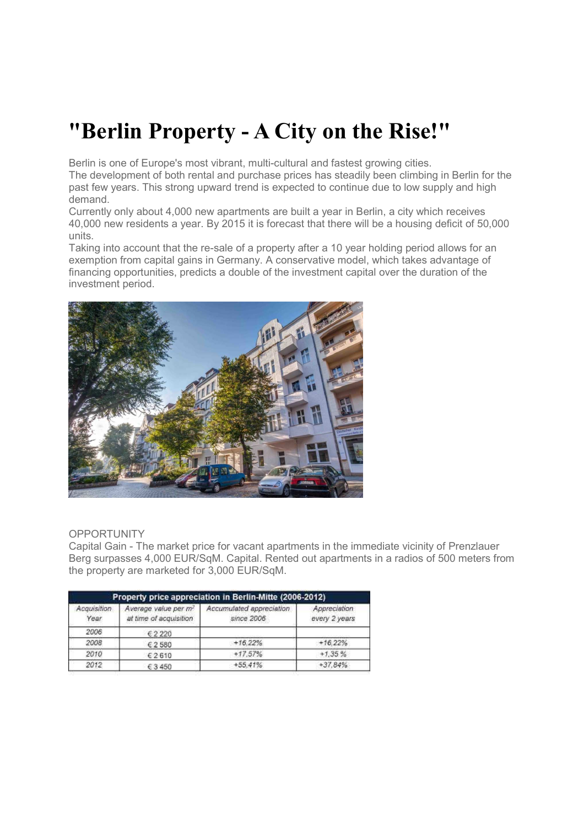# **"Berlin Property - A City on the Rise!"**

Berlin is one of Europe's most vibrant, multi-cultural and fastest growing cities.

The development of both rental and purchase prices has steadily been climbing in Berlin for the past few years. This strong upward trend is expected to continue due to low supply and high demand.

Currently only about 4,000 new apartments are built a year in Berlin, a city which receives 40,000 new residents a year. By 2015 it is forecast that there will be a housing deficit of 50,000 units.

Taking into account that the re-sale of a property after a 10 year holding period allows for an exemption from capital gains in Germany. A conservative model, which takes advantage of financing opportunities, predicts a double of the investment capital over the duration of the investment period.



## **OPPORTUNITY**

Capital Gain - The market price for vacant apartments in the immediate vicinity of Prenzlauer Berg surpasses 4,000 EUR/SqM. Capital. Rented out apartments in a radios of 500 meters from the property are marketed for 3,000 EUR/SqM.

| Property price appreciation in Berlin-Mitte (2006-2012) |                                                            |                                        |                               |
|---------------------------------------------------------|------------------------------------------------------------|----------------------------------------|-------------------------------|
| Acquisition<br>Year                                     | Average value per m <sup>2</sup><br>at time of acquisition | Accumulated appreciation<br>since 2006 | Appreciation<br>every 2 years |
| 2006                                                    | €2220                                                      |                                        |                               |
| 2008                                                    | € 2 580                                                    | $+16.22%$                              | $+16.22%$                     |
| 2010                                                    | €2610                                                      | $+17.57%$                              | $+1.35%$                      |
| 2012                                                    | €3450                                                      | $+55.41%$                              | $+37.84%$                     |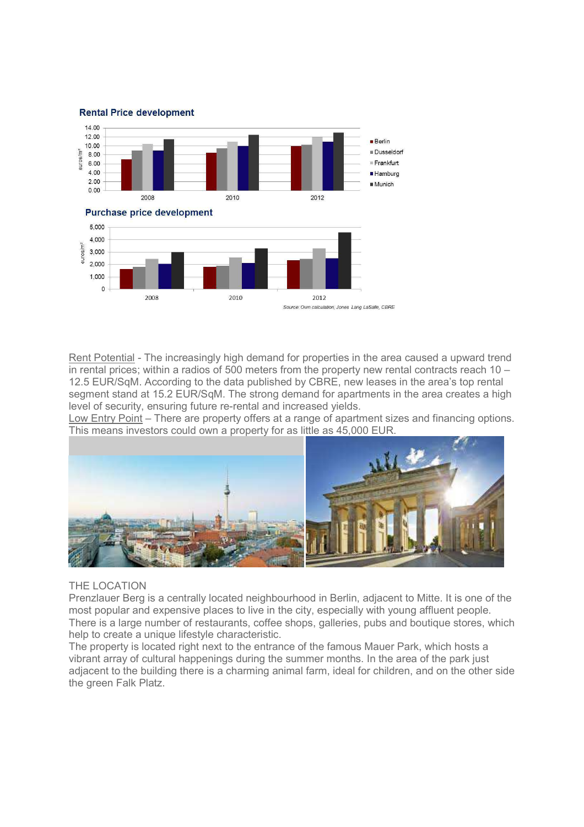

Rent Potential - The increasingly high demand for properties in the area caused a upward trend in rental prices; within a radios of 500 meters from the property new rental contracts reach 10 – 12.5 EUR/SqM. According to the data published by CBRE, new leases in the area's top rental segment stand at 15.2 EUR/SqM. The strong demand for apartments in the area creates a high level of security, ensuring future re-rental and increased yields.

Low Entry Point – There are property offers at a range of apartment sizes and financing options. This means investors could own a property for as little as 45,000 EUR.



## THE LOCATION

Prenzlauer Berg is a centrally located neighbourhood in Berlin, adjacent to Mitte. It is one of the most popular and expensive places to live in the city, especially with young affluent people. There is a large number of restaurants, coffee shops, galleries, pubs and boutique stores, which help to create a unique lifestyle characteristic.

The property is located right next to the entrance of the famous Mauer Park, which hosts a vibrant array of cultural happenings during the summer months. In the area of the park just adjacent to the building there is a charming animal farm, ideal for children, and on the other side the green Falk Platz.